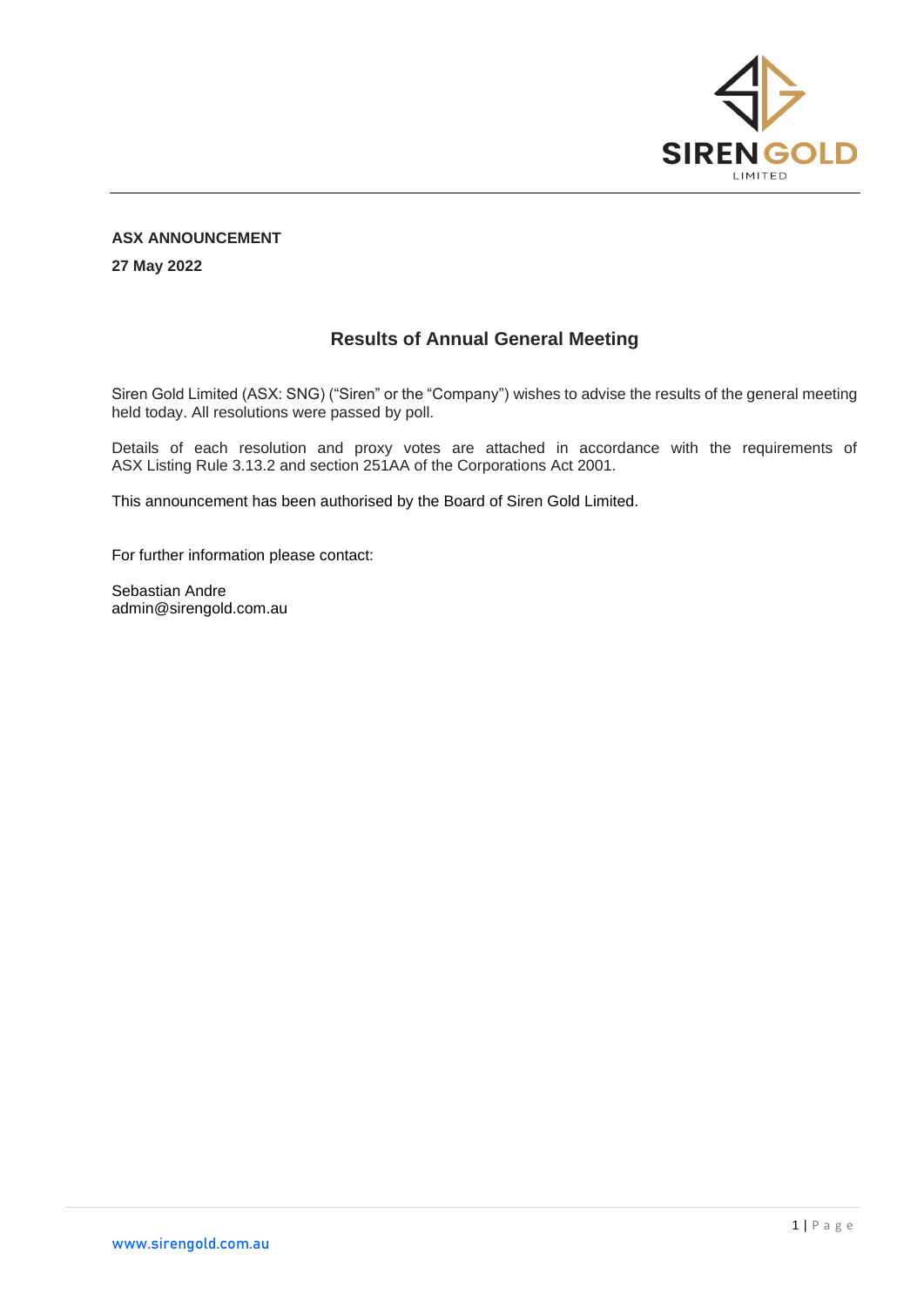

## **ASX ANNOUNCEMENT**

**27 May 2022**

## **Results of Annual General Meeting**

Siren Gold Limited (ASX: SNG) ("Siren" or the "Company") wishes to advise the results of the general meeting held today. All resolutions were passed by poll.

Details of each resolution and proxy votes are attached in accordance with the requirements of ASX Listing Rule 3.13.2 and section 251AA of the Corporations Act 2001.

This announcement has been authorised by the Board of Siren Gold Limited.

For further information please contact:

Sebastian Andre admin@sirengold.com.au